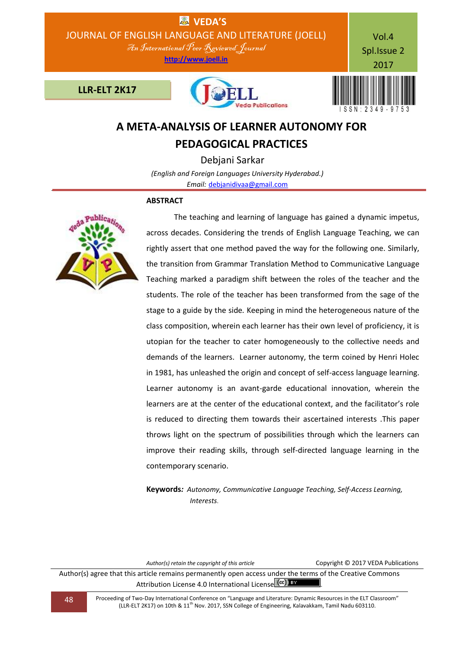

# **A META-ANALYSIS OF LEARNER AUTONOMY FOR PEDAGOGICAL PRACTICES**

 Debjani Sarkar *(English and Foreign Languages University Hyderabad.) Email:* [debjanidivaa@gmail.com](mailto:debjanidivaa@gmail.com)

#### **ABSTRACT**



The teaching and learning of language has gained a dynamic impetus, across decades. Considering the trends of English Language Teaching, we can rightly assert that one method paved the way for the following one. Similarly, the transition from Grammar Translation Method to Communicative Language Teaching marked a paradigm shift between the roles of the teacher and the students. The role of the teacher has been transformed from the sage of the stage to a guide by the side*.* Keeping in mind the heterogeneous nature of the class composition, wherein each learner has their own level of proficiency, it is utopian for the teacher to cater homogeneously to the collective needs and demands of the learners. Learner autonomy, the term coined by Henri Holec in 1981, has unleashed the origin and concept of self-access language learning. Learner autonomy is an avant-garde educational innovation, wherein the learners are at the center of the educational context, and the facilitator's role is reduced to directing them towards their ascertained interests .This paper throws light on the spectrum of possibilities through which the learners can improve their reading skills, through self-directed language learning in the contemporary scenario.

**Keywords***: Autonomy, Communicative Language Teaching, Self-Access Learning, Interests*.

*Author(s) retain the copyright of this article* Copyright © 2017 VEDA Publications

Author(s) agree that this article remains permanently open access under the terms of the Creative Commons Attribution License 4.0 International License (cc)

48 Proceeding of Two-Day International Conference on "Language and Literature: Dynamic Resources in the ELT Classroom" (LLR-ELT 2K17) on 10th & 11th Nov. 2017, SSN College of Engineering, Kalavakkam, Tamil Nadu 603110.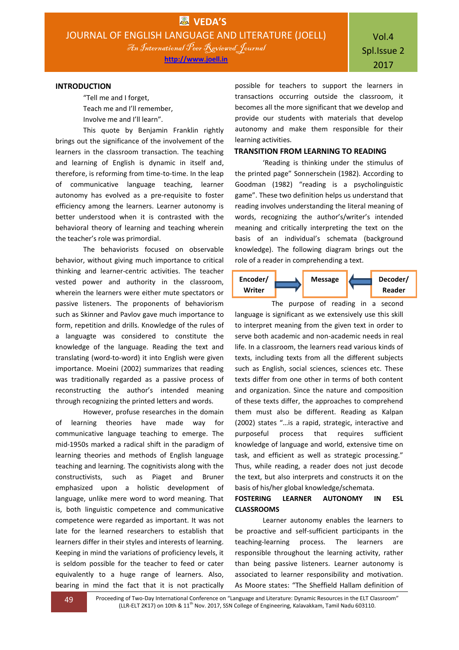#### **INTRODUCTION**

"Tell me and I forget, Teach me and I'll remember, Involve me and I'll learn".

This quote by Benjamin Franklin rightly brings out the significance of the involvement of the learners in the classroom transaction. The teaching and learning of English is dynamic in itself and, therefore, is reforming from time-to-time. In the leap of communicative language teaching, learner autonomy has evolved as a pre-requisite to foster efficiency among the learners. Learner autonomy is better understood when it is contrasted with the behavioral theory of learning and teaching wherein the teacher's role was primordial.

The behaviorists focused on observable behavior, without giving much importance to critical thinking and learner-centric activities. The teacher vested power and authority in the classroom, wherein the learners were either mute spectators or passive listeners. The proponents of behaviorism such as Skinner and Pavlov gave much importance to form, repetition and drills. Knowledge of the rules of a languagte was considered to constitute the knowledge of the language. Reading the text and translating (word-to-word) it into English were given importance. Moeini (2002) summarizes that reading was traditionally regarded as a passive process of reconstructing the author's intended meaning through recognizing the printed letters and words.

However, profuse researches in the domain of learning theories have made way for communicative language teaching to emerge. The mid-1950s marked a radical shift in the paradigm of learning theories and methods of English language teaching and learning. The cognitivists along with the constructivists, such as Piaget and Bruner emphasized upon a holistic development of language, unlike mere word to word meaning. That is, both linguistic competence and communicative competence were regarded as important. It was not late for the learned researchers to establish that learners differ in their styles and interests of learning. Keeping in mind the variations of proficiency levels, it is seldom possible for the teacher to feed or cater equivalently to a huge range of learners. Also, bearing in mind the fact that it is not practically

possible for teachers to support the learners in transactions occurring outside the classroom, it becomes all the more significant that we develop and provide our students with materials that develop autonomy and make them responsible for their learning activities.

#### **TRANSITION FROM LEARNING TO READING**

'Reading is thinking under the stimulus of the printed page" Sonnerschein (1982). According to Goodman (1982) "reading is a psycholinguistic game". These two definition helps us understand that reading involves understanding the literal meaning of words, recognizing the author's/writer's intended meaning and critically interpreting the text on the basis of an individual's schemata (background knowledge). The following diagram brings out the role of a reader in comprehending a text.



 The purpose of reading in a second language is significant as we extensively use this skill to interpret meaning from the given text in order to serve both academic and non-academic needs in real life. In a classroom, the learners read various kinds of texts, including texts from all the different subjects such as English, social sciences, sciences etc. These texts differ from one other in terms of both content and organization. Since the nature and composition of these texts differ, the approaches to comprehend them must also be different. Reading as Kalpan (2002) states "…is a rapid, strategic, interactive and purposeful process that requires sufficient knowledge of language and world, extensive time on task, and efficient as well as strategic processing." Thus, while reading, a reader does not just decode the text, but also interprets and constructs it on the basis of his/her global knowledge/schemata.

#### **FOSTERING LEARNER AUTONOMY IN ESL CLASSROOMS**

Learner autonomy enables the learners to be proactive and self-sufficient participants in the teaching-learning process. The learners are responsible throughout the learning activity, rather than being passive listeners. Learner autonomy is associated to learner responsibility and motivation. As Moore states: "The Sheffield Hallam definition of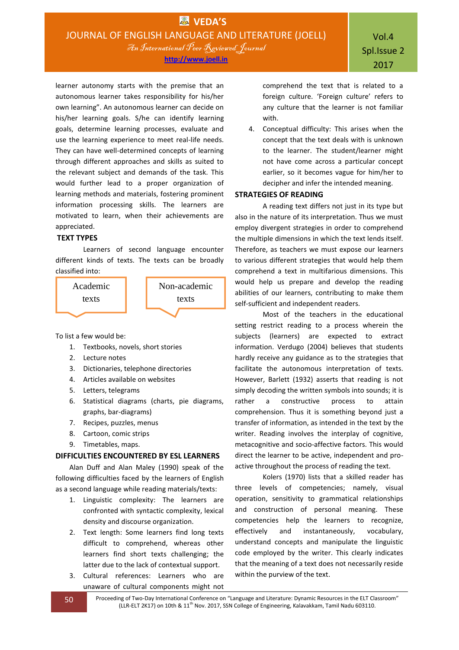Vol.4

learner autonomy starts with the premise that an autonomous learner takes responsibility for his/her own learning". An autonomous learner can decide on his/her learning goals. S/he can identify learning goals, determine learning processes, evaluate and use the learning experience to meet real-life needs. They can have well-determined concepts of learning through different approaches and skills as suited to the relevant subject and demands of the task. This would further lead to a proper organization of learning methods and materials, fostering prominent information processing skills. The learners are motivated to learn, when their achievements are appreciated.

## **TEXT TYPES**

Learners of second language encounter different kinds of texts. The texts can be broadly classified into:



To list a few would be:

- 1. Textbooks, novels, short stories
- 2. Lecture notes
- 3. Dictionaries, telephone directories
- 4. Articles available on websites
- 5. Letters, telegrams
- 6. Statistical diagrams (charts, pie diagrams, graphs, bar-diagrams)
- 7. Recipes, puzzles, menus
- 8. Cartoon, comic strips
- 9. Timetables, maps.

## **DIFFICULTIES ENCOUNTERED BY ESL LEARNERS**

Alan Duff and Alan Maley (1990) speak of the following difficulties faced by the learners of English as a second language while reading materials/texts:

- 1. Linguistic complexity: The learners are confronted with syntactic complexity, lexical density and discourse organization.
- 2. Text length: Some learners find long texts difficult to comprehend, whereas other learners find short texts challenging; the latter due to the lack of contextual support.
- 3. Cultural references: Learners who are unaware of cultural components might not

comprehend the text that is related to a foreign culture. 'Foreign culture' refers to any culture that the learner is not familiar with.

4. Conceptual difficulty: This arises when the concept that the text deals with is unknown to the learner. The student/learner might not have come across a particular concept earlier, so it becomes vague for him/her to decipher and infer the intended meaning.

## **STRATEGIES OF READING**

A reading text differs not just in its type but also in the nature of its interpretation. Thus we must employ divergent strategies in order to comprehend the multiple dimensions in which the text lends itself. Therefore, as teachers we must expose our learners to various different strategies that would help them comprehend a text in multifarious dimensions. This would help us prepare and develop the reading abilities of our learners, contributing to make them self-sufficient and independent readers.

Most of the teachers in the educational setting restrict reading to a process wherein the subjects (learners) are expected to extract information. Verdugo (2004) believes that students hardly receive any guidance as to the strategies that facilitate the autonomous interpretation of texts. However, Barlett (1932) asserts that reading is not simply decoding the written symbols into sounds; it is rather a constructive process to attain comprehension. Thus it is something beyond just a transfer of information, as intended in the text by the writer. Reading involves the interplay of cognitive, metacognitive and socio-affective factors. This would direct the learner to be active, independent and proactive throughout the process of reading the text.

Kolers (1970) lists that a skilled reader has three levels of competencies; namely, visual operation, sensitivity to grammatical relationships and construction of personal meaning. These competencies help the learners to recognize, effectively and instantaneously, vocabulary, understand concepts and manipulate the linguistic code employed by the writer. This clearly indicates that the meaning of a text does not necessarily reside within the purview of the text.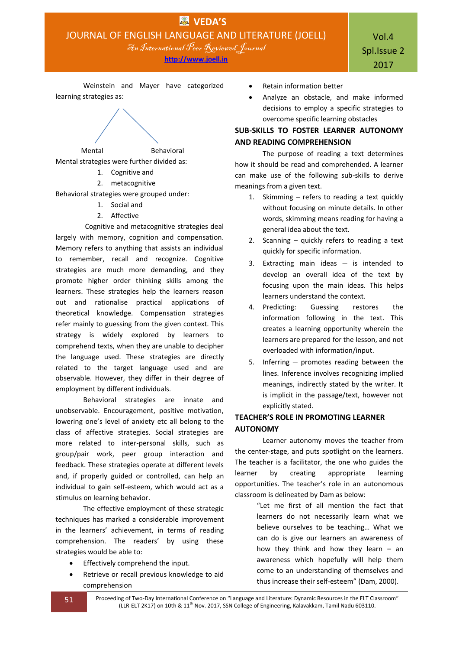**http://www.joell.in**

Vol.4 Spl.Issue 2 2017

Weinstein and Mayer have categorized learning strategies as:

Mental Behavioral Mental strategies were further divided as:

- 1. Cognitive and
- 2. metacognitive

Behavioral strategies were grouped under:

- 1. Social and
- 2. Affective

Cognitive and metacognitive strategies deal largely with memory, cognition and compensation. Memory refers to anything that assists an individual to remember, recall and recognize. Cognitive strategies are much more demanding, and they promote higher order thinking skills among the learners. These strategies help the learners reason out and rationalise practical applications of theoretical knowledge. Compensation strategies refer mainly to guessing from the given context. This strategy is widely explored by learners to comprehend texts, when they are unable to decipher the language used. These strategies are directly related to the target language used and are observable. However, they differ in their degree of employment by different individuals.

Behavioral strategies are innate and unobservable. Encouragement, positive motivation, lowering one's level of anxiety etc all belong to the class of affective strategies. Social strategies are more related to inter-personal skills, such as group/pair work, peer group interaction and feedback. These strategies operate at different levels and, if properly guided or controlled, can help an individual to gain self-esteem, which would act as a stimulus on learning behavior.

The effective employment of these strategic techniques has marked a considerable improvement in the learners' achievement, in terms of reading comprehension. The readers' by using these strategies would be able to:

- Effectively comprehend the input.
- Retrieve or recall previous knowledge to aid comprehension
- Retain information better
- Analyze an obstacle, and make informed decisions to employ a specific strategies to overcome specific learning obstacles

# **SUB-SKILLS TO FOSTER LEARNER AUTONOMY AND READING COMPREHENSION**

The purpose of reading a text determines how it should be read and comprehended. A learner can make use of the following sub-skills to derive meanings from a given text.

- 1. Skimming refers to reading a text quickly without focusing on minute details. In other words, skimming means reading for having a general idea about the text.
- 2. Scanning quickly refers to reading a text quickly for specific information.
- 3. Extracting main ideas  $-$  is intended to develop an overall idea of the text by focusing upon the main ideas. This helps learners understand the context.
- 4. Predicting: Guessing restores the information following in the text. This creates a learning opportunity wherein the learners are prepared for the lesson, and not overloaded with information/input.
- 5. Inferring promotes reading between the lines. Inference involves recognizing implied meanings, indirectly stated by the writer. It is implicit in the passage/text, however not explicitly stated.

# **TEACHER'S ROLE IN PROMOTING LEARNER AUTONOMY**

Learner autonomy moves the teacher from the center-stage, and puts spotlight on the learners. The teacher is a facilitator, the one who guides the learner by creating appropriate learning opportunities. The teacher's role in an autonomous classroom is delineated by Dam as below:

> "Let me first of all mention the fact that learners do not necessarily learn what we believe ourselves to be teaching… What we can do is give our learners an awareness of how they think and how they learn  $-$  an awareness which hopefully will help them come to an understanding of themselves and thus increase their self-esteem" (Dam, 2000).